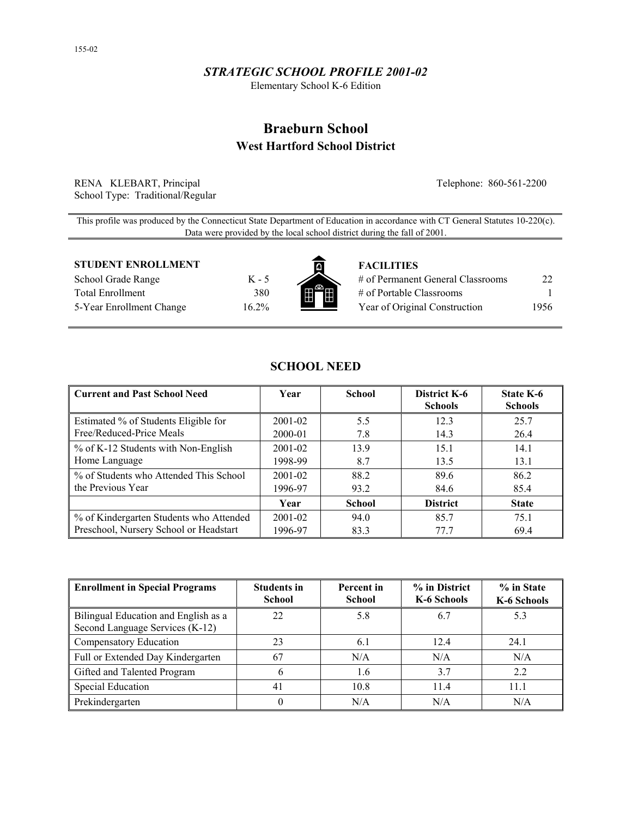## *STRATEGIC SCHOOL PROFILE 2001-02*

Elementary School K-6 Edition

# **Braeburn School West Hartford School District**

RENA KLEBART, Principal Telephone: 860-561-2200 School Type: Traditional/Regular

This profile was produced by the Connecticut State Department of Education in accordance with CT General Statutes 10-220(c). Data were provided by the local school district during the fall of 2001.

#### **STUDENT ENROLLMENT FACILITIES**

School Grade Range K - 5 Total Enrollment 380 5-Year Enrollment Change 16.2%



| # of Permanent General Classrooms | 22   |
|-----------------------------------|------|
| # of Portable Classrooms          |      |
| Year of Original Construction     | 1956 |

| Current and Past School Need            | Year        | <b>School</b> | District K-6<br><b>Schools</b> | State K-6<br><b>Schools</b> |
|-----------------------------------------|-------------|---------------|--------------------------------|-----------------------------|
| Estimated % of Students Eligible for    | 2001-02     | 5.5           | 12.3                           | 25.7                        |
| Free/Reduced-Price Meals                | 2000-01     | 7.8           | 14.3                           | 26.4                        |
| $\%$ of K-12 Students with Non-English  | $2001 - 02$ | 13.9          | 15.1                           | 14.1                        |
| Home Language                           | 1998-99     | 8.7           | 13.5                           | 13.1                        |
| % of Students who Attended This School  | $2001 - 02$ | 88.2          | 89.6                           | 86.2                        |
| the Previous Year                       | 1996-97     | 93.2          | 84.6                           | 85.4                        |
|                                         | Year        | <b>School</b> | <b>District</b>                | <b>State</b>                |
| % of Kindergarten Students who Attended | 2001-02     | 94.0          | 85.7                           | 75.1                        |
| Preschool, Nursery School or Headstart  | 1996-97     | 83.3          | 77.7                           | 69.4                        |

**SCHOOL NEED** 

| <b>Enrollment in Special Programs</b>                                   | <b>Students in</b><br><b>School</b> | Percent in<br><b>School</b> | % in District<br>K-6 Schools | % in State<br>K-6 Schools |
|-------------------------------------------------------------------------|-------------------------------------|-----------------------------|------------------------------|---------------------------|
| Bilingual Education and English as a<br>Second Language Services (K-12) | 22                                  | 5.8                         | 6.7                          | 5.3                       |
| Compensatory Education                                                  | 23                                  | 6.1                         | 12.4                         | 24.1                      |
| Full or Extended Day Kindergarten                                       | 67                                  | N/A                         | N/A                          | N/A                       |
| Gifted and Talented Program                                             | h                                   | 1.6                         | 3.7                          | 2.2                       |
| <b>Special Education</b>                                                | 41                                  | 10.8                        | 11.4                         | 11.1                      |
| Prekindergarten                                                         |                                     | N/A                         | N/A                          | N/A                       |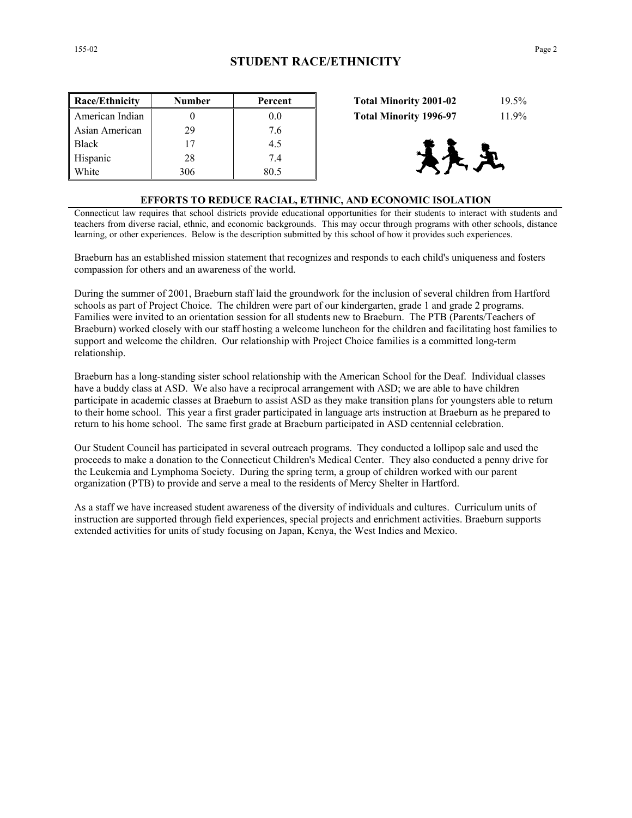| Race/Ethnicity  | <b>Number</b> | Percent | 19.5%<br><b>Total Minority 2001-02</b> |
|-----------------|---------------|---------|----------------------------------------|
| American Indian |               | 0.0     | 11.9%<br><b>Total Minority 1996-97</b> |
| Asian American  | 29            | 7.6     |                                        |
| <b>Black</b>    | 17            | 4.5     |                                        |
| Hispanic        | 28            | 7.4     | 天义                                     |
| White           | 306           | 80.5    |                                        |

| <b>Total Minority 2001-02</b> | $19.5\%$ |
|-------------------------------|----------|
| <b>Total Minority 1996-97</b> | 11.9%    |



#### **EFFORTS TO REDUCE RACIAL, ETHNIC, AND ECONOMIC ISOLATION**

Connecticut law requires that school districts provide educational opportunities for their students to interact with students and teachers from diverse racial, ethnic, and economic backgrounds. This may occur through programs with other schools, distance learning, or other experiences. Below is the description submitted by this school of how it provides such experiences.

Braeburn has an established mission statement that recognizes and responds to each child's uniqueness and fosters compassion for others and an awareness of the world.

During the summer of 2001, Braeburn staff laid the groundwork for the inclusion of several children from Hartford schools as part of Project Choice. The children were part of our kindergarten, grade 1 and grade 2 programs. Families were invited to an orientation session for all students new to Braeburn. The PTB (Parents/Teachers of Braeburn) worked closely with our staff hosting a welcome luncheon for the children and facilitating host families to support and welcome the children. Our relationship with Project Choice families is a committed long-term relationship.

Braeburn has a long-standing sister school relationship with the American School for the Deaf. Individual classes have a buddy class at ASD. We also have a reciprocal arrangement with ASD; we are able to have children participate in academic classes at Braeburn to assist ASD as they make transition plans for youngsters able to return to their home school. This year a first grader participated in language arts instruction at Braeburn as he prepared to return to his home school. The same first grade at Braeburn participated in ASD centennial celebration.

Our Student Council has participated in several outreach programs. They conducted a lollipop sale and used the proceeds to make a donation to the Connecticut Children's Medical Center. They also conducted a penny drive for the Leukemia and Lymphoma Society. During the spring term, a group of children worked with our parent organization (PTB) to provide and serve a meal to the residents of Mercy Shelter in Hartford.

As a staff we have increased student awareness of the diversity of individuals and cultures. Curriculum units of instruction are supported through field experiences, special projects and enrichment activities. Braeburn supports extended activities for units of study focusing on Japan, Kenya, the West Indies and Mexico.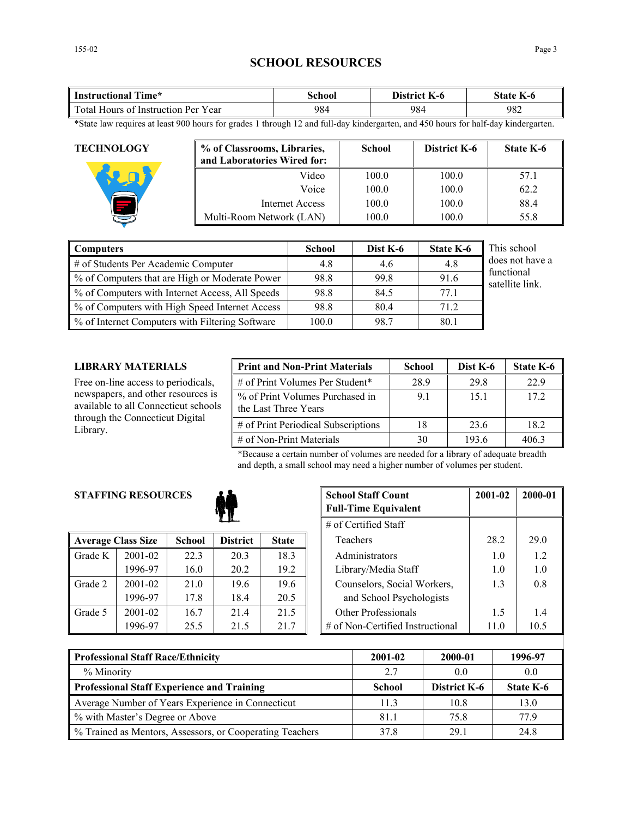## **SCHOOL RESOURCES**

| Time*                               | <b>\chool</b> | District        | state |
|-------------------------------------|---------------|-----------------|-------|
| Instructional                       |               | $\mathbf{K}$ -0 | K-0   |
| Total Hours of Instruction Per Year | 984           | 984             | 982   |

\*State law requires at least 900 hours for grades 1 through 12 and full-day kindergarten, and 450 hours for half-day kindergarten.

| <b>TECHNOLOGY</b> | % of Classrooms, Libraries,<br>and Laboratories Wired for: | <b>School</b> | District K-6 | <b>State K-6</b> |
|-------------------|------------------------------------------------------------|---------------|--------------|------------------|
|                   | Video                                                      | 100.0         | 100.0        | 57.1             |
|                   | Voice                                                      | 100.0         | 100.0        | 62.2             |
|                   | Internet Access                                            | 100.0         | 100.0        | 88.4             |
|                   | Multi-Room Network (LAN)                                   | 100.0         | 100.0        | 55.8             |

| <b>Computers</b>                                | <b>School</b> | Dist K-6 | <b>State K-6</b> | This school                   |
|-------------------------------------------------|---------------|----------|------------------|-------------------------------|
| # of Students Per Academic Computer             | 4.8           | 4.6      | 4.8              | does not have a               |
| % of Computers that are High or Moderate Power  | 98.8          | 99.8     | 91.6             | functional<br>satellite link. |
| % of Computers with Internet Access, All Speeds | 98.8          | 84.5     | 77.1             |                               |
| % of Computers with High Speed Internet Access  | 98.8          | 80.4     | 71.2             |                               |
| % of Internet Computers with Filtering Software | 100.0         | 98.7     | 80.1             |                               |

## **LIBRARY MATERIALS**

Free on-line access to periodicals, newspapers, and other resources is available to all Connecticut schools through the Connecticut Digital Library.

| <b>Print and Non-Print Materials</b>                    | <b>School</b> | Dist K-6 | State K-6 |
|---------------------------------------------------------|---------------|----------|-----------|
| # of Print Volumes Per Student*                         | 28.9          | 29.8     | 22.9      |
| % of Print Volumes Purchased in<br>the Last Three Years | 91            | 15.1     | 172       |
| # of Print Periodical Subscriptions                     | 18            | 23.6     | 18.2      |
| $\#$ of Non-Print Materials                             | 30            | 193.6    | 4063      |

\*Because a certain number of volumes are needed for a library of adequate breadth and depth, a small school may need a higher number of volumes per student.

## **STAFFING RESOURCES**



|         | <b>Average Class Size</b> | <b>School</b> | <b>District</b> | <b>State</b> |
|---------|---------------------------|---------------|-----------------|--------------|
| Grade K | $2001 - 02$               | 22.3          | 20.3            | 18.3         |
|         | 1996-97                   | 16.0          | 20.2            | 19.2         |
| Grade 2 | $2001 - 02$               | 21.0          | 19.6            | 19.6         |
|         | 1996-97                   | 17.8          | 18.4            | 20.5         |
| Grade 5 | 2001-02                   | 16.7          | 21.4            | 21.5         |
|         | 1996-97                   | 25.5          | 21.5            | 21.7         |

| <b>RESOURCES</b> |               | <b>School Staff Count</b><br><b>Full-Time Equivalent</b> | 2001-02      | 2000-01 |                                  |      |      |
|------------------|---------------|----------------------------------------------------------|--------------|---------|----------------------------------|------|------|
|                  |               | # of Certified Staff                                     |              |         |                                  |      |      |
| ass Size         | <b>School</b> | <b>District</b>                                          | <b>State</b> |         | Teachers                         | 28.2 | 29.0 |
| 2001-02          | 22.3          | 20.3                                                     | 18.3         |         | Administrators                   | 1.0  | 1.2  |
| 1996-97          | 16.0          | 20.2                                                     | 19.2         |         | Library/Media Staff              | 1.0  | 1.0  |
| 2001-02          | 21.0          | 19.6                                                     | 19.6         |         | Counselors, Social Workers,      | 1.3  | 0.8  |
| 1996-97          | 17.8          | 18.4                                                     | 20.5         |         | and School Psychologists         |      |      |
| 2001-02          | 16.7          | 21.4                                                     | 21.5         |         | Other Professionals              | 1.5  | 1.4  |
| 1996-97          | 25.5          | 21.5                                                     | 21.7         |         | # of Non-Certified Instructional | 11.0 | 10.5 |

| <b>Professional Staff Race/Ethnicity</b>                 | 2001-02       | 2000-01      | 1996-97   |
|----------------------------------------------------------|---------------|--------------|-----------|
| % Minority                                               | 2.7           | 0.0          | 0.0       |
| <b>Professional Staff Experience and Training</b>        | <b>School</b> | District K-6 | State K-6 |
| Average Number of Years Experience in Connecticut        | 11.3          | 10.8         | l 3.0     |
| % with Master's Degree or Above                          | 81.1          | 75.8         | 77 9      |
| % Trained as Mentors, Assessors, or Cooperating Teachers | 378           | 29.1         | 24.8      |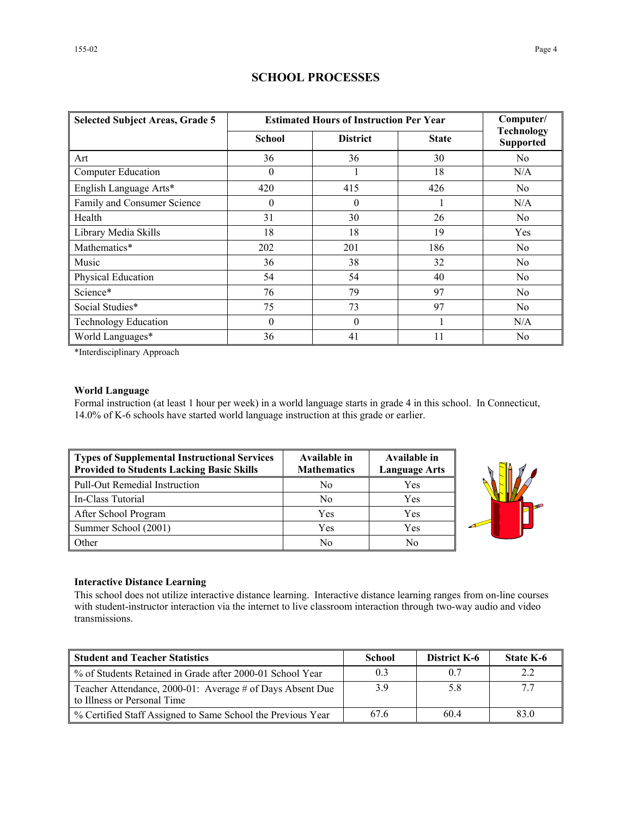| <b>Selected Subject Areas, Grade 5</b> | <b>Estimated Hours of Instruction Per Year</b> | Computer/       |              |                                       |  |
|----------------------------------------|------------------------------------------------|-----------------|--------------|---------------------------------------|--|
|                                        | <b>School</b>                                  | <b>District</b> | <b>State</b> | <b>Technology</b><br><b>Supported</b> |  |
| Art                                    | 36                                             | 36              | 30           | N <sub>0</sub>                        |  |
| <b>Computer Education</b>              | 0                                              |                 | 18           | N/A                                   |  |
| English Language Arts*                 | 420                                            | 415             | 426          | N <sub>0</sub>                        |  |
| Family and Consumer Science            | 0                                              | $\theta$        |              | N/A                                   |  |
| Health                                 | 31                                             | 30              | 26           | N <sub>0</sub>                        |  |
| Library Media Skills                   | 18                                             | 18              | 19           | Yes                                   |  |
| Mathematics*                           | 202                                            | 201             | 186          | N <sub>0</sub>                        |  |
| Music                                  | 36                                             | 38              | 32           | No                                    |  |
| Physical Education                     | 54                                             | 54              | 40           | N <sub>0</sub>                        |  |
| Science*                               | 76                                             | 79              | 97           | No                                    |  |
| Social Studies*                        | 75                                             | 73              | 97           | No                                    |  |
| <b>Technology Education</b>            | $\theta$                                       | $\theta$        |              | N/A                                   |  |

## **SCHOOL PROCESSES**

\*Interdisciplinary Approach

## **World Language**

Formal instruction (at least 1 hour per week) in a world language starts in grade 4 in this school. In Connecticut, 14.0% of K-6 schools have started world language instruction at this grade or earlier.

World Languages\* 36 36 41 11 No

| Types of Supplemental Instructional Services<br>Provided to Students Lacking Basic Skills | Available in<br><b>Mathematics</b> | Available in<br><b>Language Arts</b> |
|-------------------------------------------------------------------------------------------|------------------------------------|--------------------------------------|
| Pull-Out Remedial Instruction                                                             | N <sub>o</sub>                     | Yes                                  |
| In-Class Tutorial                                                                         | N <sub>0</sub>                     | Yes                                  |
| After School Program                                                                      | Yes                                | Yes                                  |
| Summer School (2001)                                                                      | Yes                                | Yes                                  |
| <b>Other</b>                                                                              | No                                 | No                                   |



#### **Interactive Distance Learning**

This school does not utilize interactive distance learning. Interactive distance learning ranges from on-line courses with student-instructor interaction via the internet to live classroom interaction through two-way audio and video transmissions.

| <b>Student and Teacher Statistics</b>                                                    | School | <b>District K-6</b> | <b>State K-6</b> |
|------------------------------------------------------------------------------------------|--------|---------------------|------------------|
| ■ % of Students Retained in Grade after 2000-01 School Year                              |        | 0.7                 |                  |
| Teacher Attendance, 2000-01: Average # of Days Absent Due<br>to Illness or Personal Time | 39     | 5.8                 |                  |
| ■ % Certified Staff Assigned to Same School the Previous Year                            | 676    | 60.4                | 83.0             |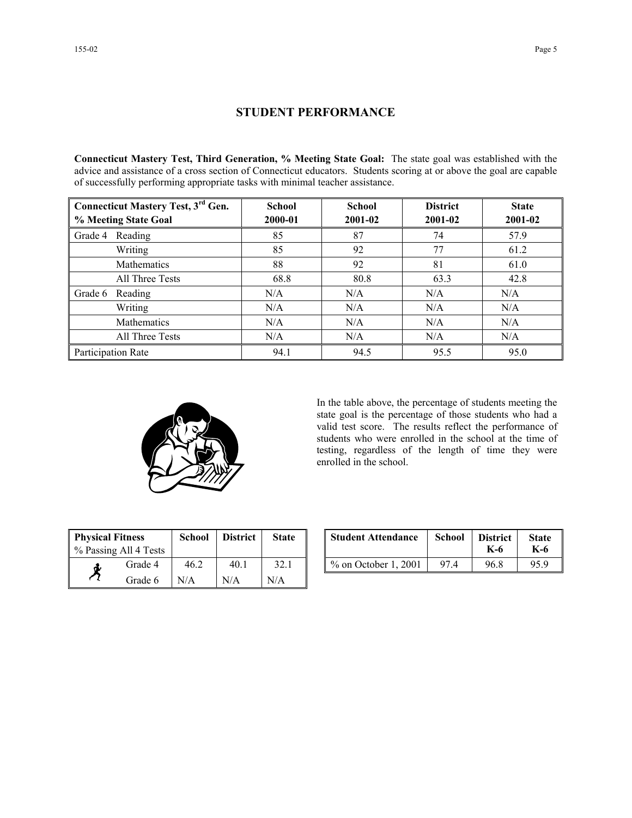## **STUDENT PERFORMANCE**

**Connecticut Mastery Test, Third Generation, % Meeting State Goal:** The state goal was established with the advice and assistance of a cross section of Connecticut educators. Students scoring at or above the goal are capable of successfully performing appropriate tasks with minimal teacher assistance.

| Connecticut Mastery Test, 3 <sup>rd</sup> Gen. | <b>School</b> | <b>School</b> | <b>District</b> | <b>State</b> |  |
|------------------------------------------------|---------------|---------------|-----------------|--------------|--|
| % Meeting State Goal                           | 2000-01       | 2001-02       | 2001-02         | 2001-02      |  |
| Reading<br>Grade 4                             | 85            | 87            | 74              | 57.9         |  |
| Writing                                        | 85            | 92            | 77              | 61.2         |  |
| Mathematics                                    | 88            | 92            | 81              | 61.0         |  |
| All Three Tests                                | 68.8          | 80.8          | 63.3            | 42.8         |  |
| Reading<br>Grade 6                             | N/A           | N/A           | N/A             | N/A          |  |
| Writing                                        | N/A           | N/A           | N/A             | N/A          |  |
| <b>Mathematics</b>                             | N/A           | N/A           | N/A             | N/A          |  |
| All Three Tests                                | N/A           | N/A           | N/A             | N/A          |  |
| Participation Rate                             | 94.1          | 94.5          | 95.5            | 95.0         |  |



In the table above, the percentage of students meeting the state goal is the percentage of those students who had a valid test score. The results reflect the performance of students who were enrolled in the school at the time of testing, regardless of the length of time they were enrolled in the school.

| <b>Physical Fitness</b><br>% Passing All 4 Tests |         | <b>School</b> | <b>District</b> | <b>State</b> |
|--------------------------------------------------|---------|---------------|-----------------|--------------|
|                                                  | Grade 4 | 46 2          | 40.1            | 32.1         |
|                                                  | Grade 6 | N/A           | N/A             | N/A          |

| ness<br>ll 4 Tests | School | <b>District</b> | <b>State</b> | <b>Student Attendance</b> | School           | <b>District</b><br>K-6 | <b>State</b><br>K-6 |
|--------------------|--------|-----------------|--------------|---------------------------|------------------|------------------------|---------------------|
| Grade 4            | 46.2   | 40.1            | 32.1         | $\%$ on October 1, 2001   | $97\,\mathrm{A}$ | 96.8                   | 95.9                |